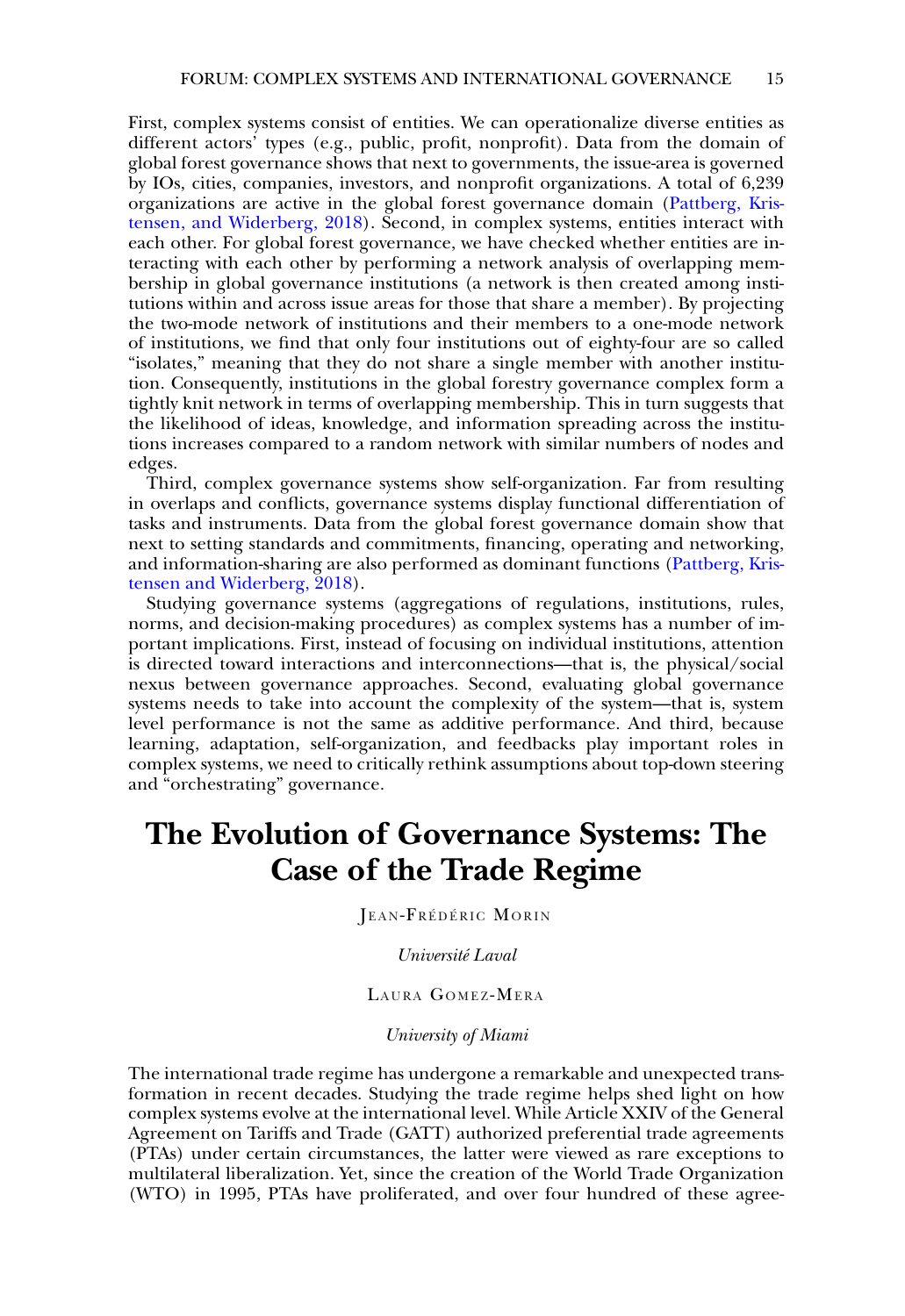First, complex systems consist of entities. We can operationalize diverse entities as different actors' types (e.g., public, profit, nonprofit). Data from the domain of global forest governance shows that next to governments, the issue-area is governed by IOs, cities, companies, investors, and nonprofit organizations. A total of 6,239 organizations are active in the global forest governance domain (Pattberg, Kristensen, and Widerberg, 2018). Second, in complex systems, entities interact with each other. For global forest governance, we have checked whether entities are interacting with each other by performing a network analysis of overlapping membership in global governance institutions (a network is then created among institutions within and across issue areas for those that share a member). By projecting the two-mode network of institutions and their members to a one-mode network of institutions, we find that only four institutions out of eighty-four are so called "isolates," meaning that they do not share a single member with another institution. Consequently, institutions in the global forestry governance complex form a tightly knit network in terms of overlapping membership. This in turn suggests that the likelihood of ideas, knowledge, and information spreading across the institutions increases compared to a random network with similar numbers of nodes and edges.

Third, complex governance systems show self-organization. Far from resulting in overlaps and conflicts, governance systems display functional differentiation of tasks and instruments. Data from the global forest governance domain show that next to setting standards and commitments, financing, operating and networking, and information-sharing are also performed as dominant functions (Pattberg, Kristensen and Widerberg, 2018).

Studying governance systems (aggregations of regulations, institutions, rules, norms, and decision-making procedures) as complex systems has a number of important implications. First, instead of focusing on individual institutions, attention is directed toward interactions and interconnections—that is, the physical/social nexus between governance approaches. Second, evaluating global governance systems needs to take into account the complexity of the system—that is, system level performance is not the same as additive performance. And third, because learning, adaptation, self-organization, and feedbacks play important roles in complex systems, we need to critically rethink assumptions about top-down steering and "orchestrating" governance.

# **The Evolution of Governance Systems: The Case of the Trade Regime**

JEAN-FRÉDÉRIC MORIN

### *Université Laval*

## LAURA GOMEZ-MERA

## *University of Miami*

The international trade regime has undergone a remarkable and unexpected transformation in recent decades. Studying the trade regime helps shed light on how complex systems evolve at the international level. While Article XXIV of the General Agreement on Tariffs and Trade (GATT) authorized preferential trade agreements (PTAs) under certain circumstances, the latter were viewed as rare exceptions to multilateral liberalization. Yet, since the creation of the World Trade Organization (WTO) in 1995, PTAs have proliferated, and over four hundred of these agree-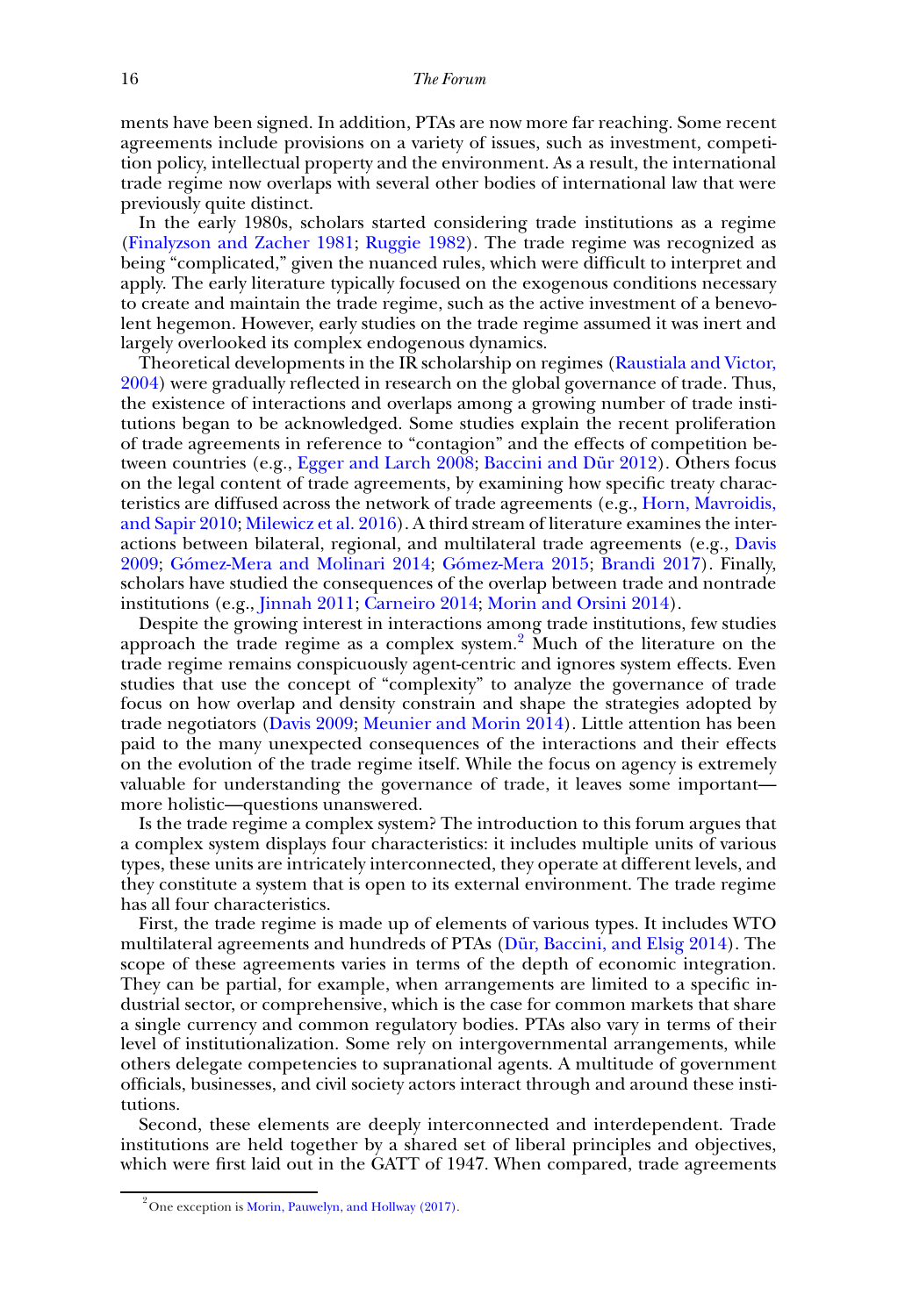## 16 *The Forum*

ments have been signed. In addition, PTAs are now more far reaching. Some recent agreements include provisions on a variety of issues, such as investment, competition policy, intellectual property and the environment. As a result, the international trade regime now overlaps with several other bodies of international law that were previously quite distinct.

In the early 1980s, scholars started considering trade institutions as a regime (Finalyzson and Zacher 1981; Ruggie 1982). The trade regime was recognized as being "complicated," given the nuanced rules, which were difficult to interpret and apply. The early literature typically focused on the exogenous conditions necessary to create and maintain the trade regime, such as the active investment of a benevolent hegemon. However, early studies on the trade regime assumed it was inert and largely overlooked its complex endogenous dynamics.

Theoretical developments in the IR scholarship on regimes (Raustiala and Victor, 2004) were gradually reflected in research on the global governance of trade. Thus, the existence of interactions and overlaps among a growing number of trade institutions began to be acknowledged. Some studies explain the recent proliferation of trade agreements in reference to "contagion" and the effects of competition between countries (e.g., Egger and Larch 2008; Baccini and Dür 2012). Others focus on the legal content of trade agreements, by examining how specific treaty characteristics are diffused across the network of trade agreements (e.g., Horn, Mavroidis, and Sapir 2010; Milewicz et al. 2016). A third stream of literature examines the interactions between bilateral, regional, and multilateral trade agreements (e.g., Davis 2009; Gómez-Mera and Molinari 2014; Gómez-Mera 2015; Brandi 2017). Finally, scholars have studied the consequences of the overlap between trade and nontrade institutions (e.g., Jinnah 2011; Carneiro 2014; Morin and Orsini 2014).

Despite the growing interest in interactions among trade institutions, few studies approach the trade regime as a complex system.<sup>2</sup> Much of the literature on the trade regime remains conspicuously agent-centric and ignores system effects. Even studies that use the concept of "complexity" to analyze the governance of trade focus on how overlap and density constrain and shape the strategies adopted by trade negotiators (Davis 2009; Meunier and Morin 2014). Little attention has been paid to the many unexpected consequences of the interactions and their effects on the evolution of the trade regime itself. While the focus on agency is extremely valuable for understanding the governance of trade, it leaves some important more holistic—questions unanswered.

Is the trade regime a complex system? The introduction to this forum argues that a complex system displays four characteristics: it includes multiple units of various types, these units are intricately interconnected, they operate at different levels, and they constitute a system that is open to its external environment. The trade regime has all four characteristics.

First, the trade regime is made up of elements of various types. It includes WTO multilateral agreements and hundreds of PTAs (Dür, Baccini, and Elsig 2014). The scope of these agreements varies in terms of the depth of economic integration. They can be partial, for example, when arrangements are limited to a specific industrial sector, or comprehensive, which is the case for common markets that share a single currency and common regulatory bodies. PTAs also vary in terms of their level of institutionalization. Some rely on intergovernmental arrangements, while others delegate competencies to supranational agents. A multitude of government officials, businesses, and civil society actors interact through and around these institutions.

Second, these elements are deeply interconnected and interdependent. Trade institutions are held together by a shared set of liberal principles and objectives, which were first laid out in the GATT of 1947. When compared, trade agreements

 $^2$  One exception is Morin, Pauwelyn, and Hollway (2017).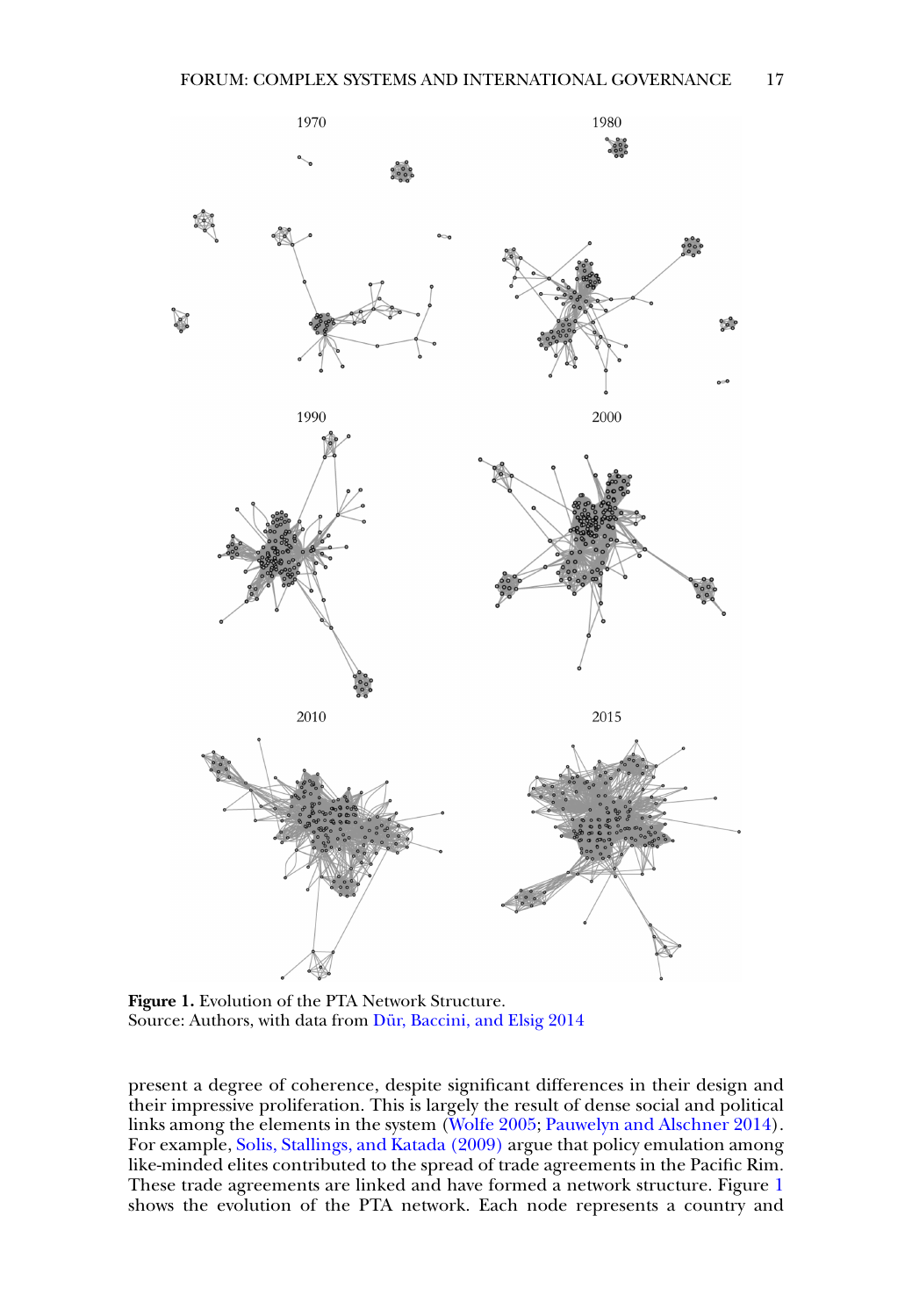

**Figure 1.** Evolution of the PTA Network Structure. Source: Authors, with data from Dür, Baccini, and Elsig 2014

present a degree of coherence, despite significant differences in their design and their impressive proliferation. This is largely the result of dense social and political links among the elements in the system (Wolfe 2005; Pauwelyn and Alschner 2014). For example, Solis, Stallings, and Katada (2009) argue that policy emulation among like-minded elites contributed to the spread of trade agreements in the Pacific Rim. These trade agreements are linked and have formed a network structure. Figure 1 shows the evolution of the PTA network. Each node represents a country and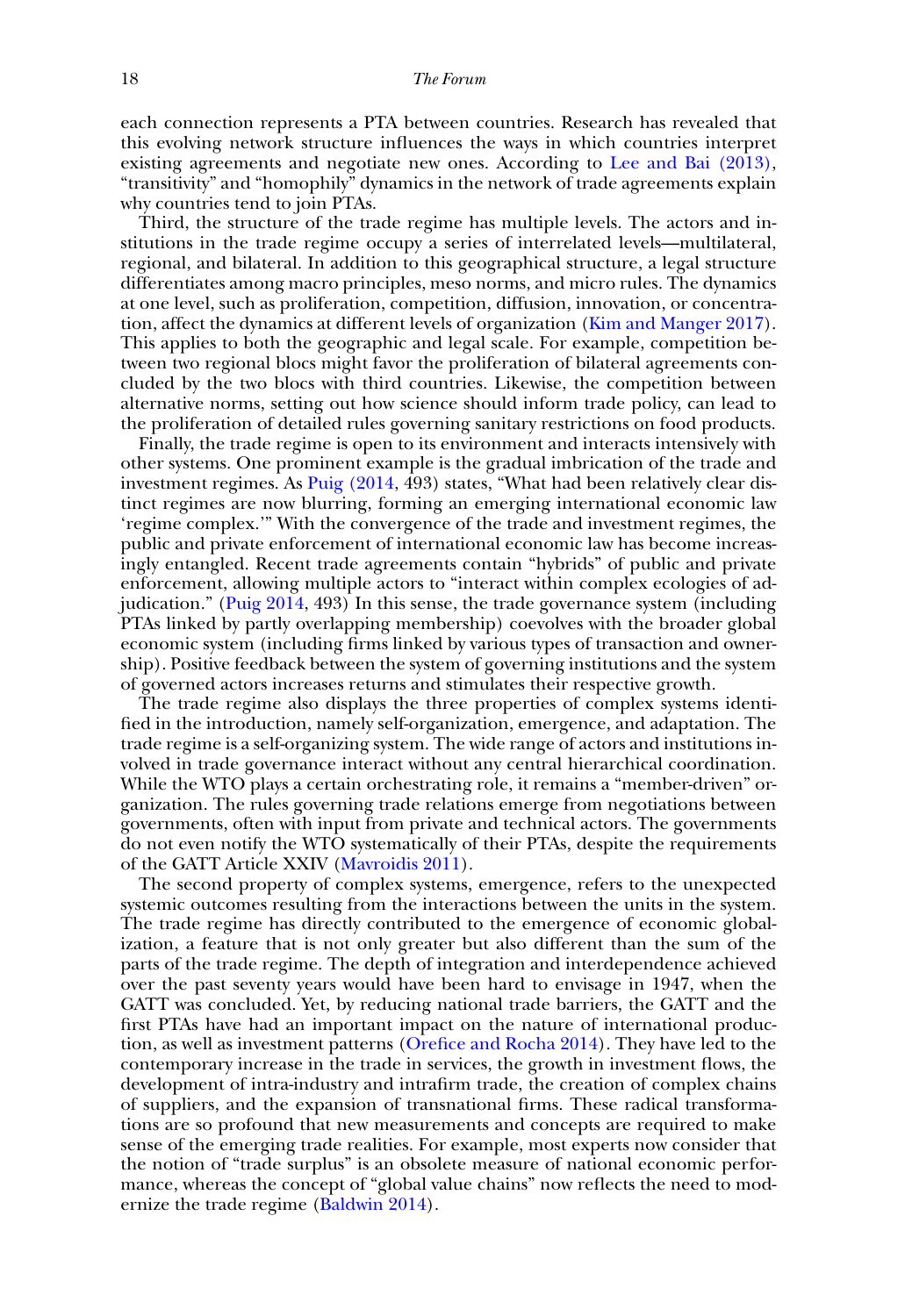each connection represents a PTA between countries. Research has revealed that this evolving network structure influences the ways in which countries interpret existing agreements and negotiate new ones. According to Lee and Bai (2013), "transitivity" and "homophily" dynamics in the network of trade agreements explain why countries tend to join PTAs.

Third, the structure of the trade regime has multiple levels. The actors and institutions in the trade regime occupy a series of interrelated levels—multilateral, regional, and bilateral. In addition to this geographical structure, a legal structure differentiates among macro principles, meso norms, and micro rules. The dynamics at one level, such as proliferation, competition, diffusion, innovation, or concentration, affect the dynamics at different levels of organization (Kim and Manger 2017). This applies to both the geographic and legal scale. For example, competition between two regional blocs might favor the proliferation of bilateral agreements concluded by the two blocs with third countries. Likewise, the competition between alternative norms, setting out how science should inform trade policy, can lead to the proliferation of detailed rules governing sanitary restrictions on food products.

Finally, the trade regime is open to its environment and interacts intensively with other systems. One prominent example is the gradual imbrication of the trade and investment regimes. As Puig (2014, 493) states, "What had been relatively clear distinct regimes are now blurring, forming an emerging international economic law 'regime complex.'" With the convergence of the trade and investment regimes, the public and private enforcement of international economic law has become increasingly entangled. Recent trade agreements contain "hybrids" of public and private enforcement, allowing multiple actors to "interact within complex ecologies of adjudication." (Puig 2014, 493) In this sense, the trade governance system (including PTAs linked by partly overlapping membership) coevolves with the broader global economic system (including firms linked by various types of transaction and ownership). Positive feedback between the system of governing institutions and the system of governed actors increases returns and stimulates their respective growth.

The trade regime also displays the three properties of complex systems identified in the introduction, namely self-organization, emergence, and adaptation. The trade regime is a self-organizing system. The wide range of actors and institutions involved in trade governance interact without any central hierarchical coordination. While the WTO plays a certain orchestrating role, it remains a "member-driven" organization. The rules governing trade relations emerge from negotiations between governments, often with input from private and technical actors. The governments do not even notify the WTO systematically of their PTAs, despite the requirements of the GATT Article XXIV (Mavroidis 2011).

The second property of complex systems, emergence, refers to the unexpected systemic outcomes resulting from the interactions between the units in the system. The trade regime has directly contributed to the emergence of economic globalization, a feature that is not only greater but also different than the sum of the parts of the trade regime. The depth of integration and interdependence achieved over the past seventy years would have been hard to envisage in 1947, when the GATT was concluded. Yet, by reducing national trade barriers, the GATT and the first PTAs have had an important impact on the nature of international production, as well as investment patterns (Orefice and Rocha 2014). They have led to the contemporary increase in the trade in services, the growth in investment flows, the development of intra-industry and intrafirm trade, the creation of complex chains of suppliers, and the expansion of transnational firms. These radical transformations are so profound that new measurements and concepts are required to make sense of the emerging trade realities. For example, most experts now consider that the notion of "trade surplus" is an obsolete measure of national economic performance, whereas the concept of "global value chains" now reflects the need to modernize the trade regime (Baldwin 2014).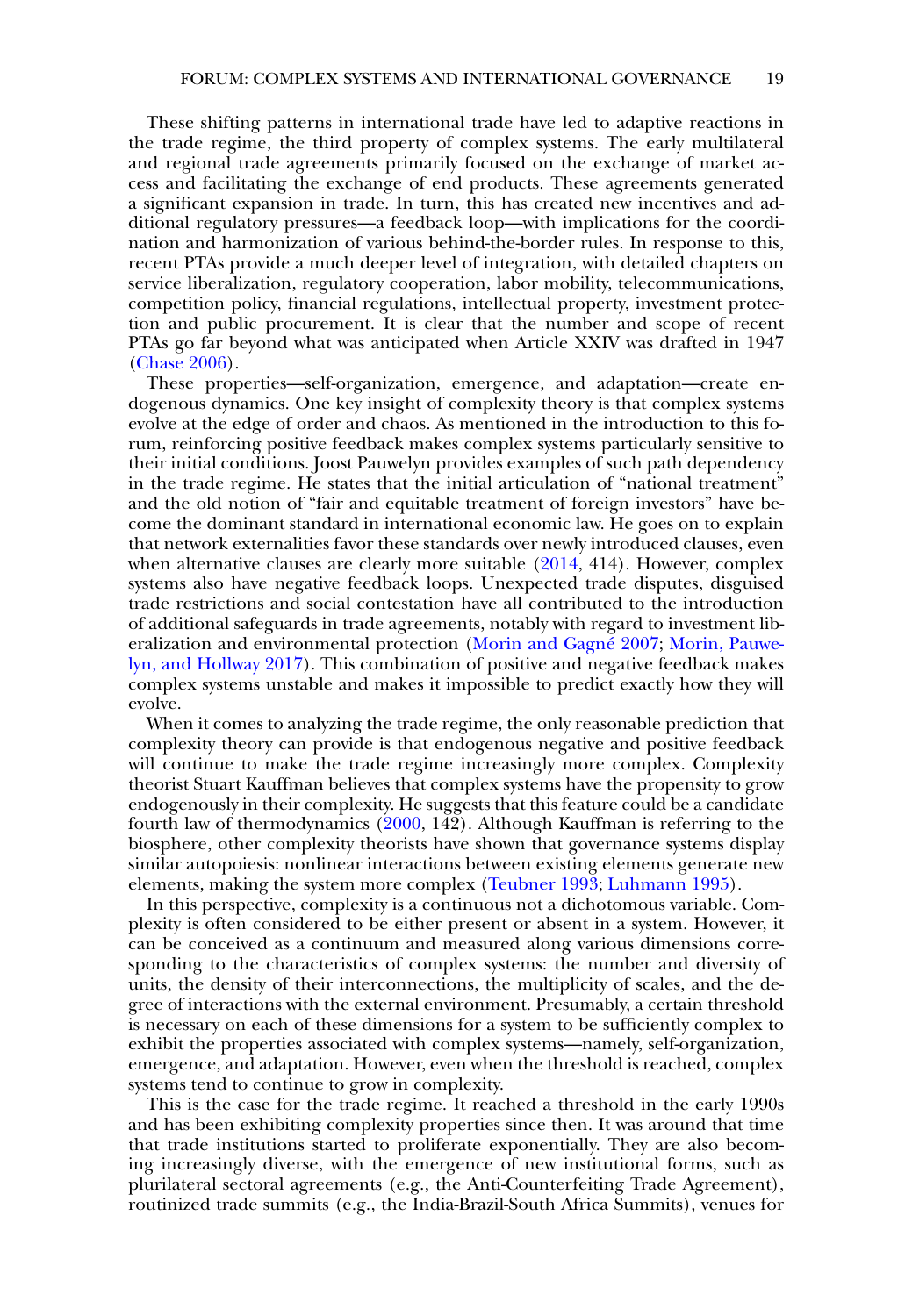These shifting patterns in international trade have led to adaptive reactions in the trade regime, the third property of complex systems. The early multilateral and regional trade agreements primarily focused on the exchange of market access and facilitating the exchange of end products. These agreements generated a significant expansion in trade. In turn, this has created new incentives and additional regulatory pressures—a feedback loop—with implications for the coordination and harmonization of various behind-the-border rules. In response to this, recent PTAs provide a much deeper level of integration, with detailed chapters on service liberalization, regulatory cooperation, labor mobility, telecommunications, competition policy, financial regulations, intellectual property, investment protection and public procurement. It is clear that the number and scope of recent PTAs go far beyond what was anticipated when Article XXIV was drafted in 1947 (Chase 2006).

These properties—self-organization, emergence, and adaptation—create endogenous dynamics. One key insight of complexity theory is that complex systems evolve at the edge of order and chaos. As mentioned in the introduction to this forum, reinforcing positive feedback makes complex systems particularly sensitive to their initial conditions. Joost Pauwelyn provides examples of such path dependency in the trade regime. He states that the initial articulation of "national treatment" and the old notion of "fair and equitable treatment of foreign investors" have become the dominant standard in international economic law. He goes on to explain that network externalities favor these standards over newly introduced clauses, even when alternative clauses are clearly more suitable (2014, 414). However, complex systems also have negative feedback loops. Unexpected trade disputes, disguised trade restrictions and social contestation have all contributed to the introduction of additional safeguards in trade agreements, notably with regard to investment liberalization and environmental protection (Morin and Gagné 2007; Morin, Pauwelyn, and Hollway 2017). This combination of positive and negative feedback makes complex systems unstable and makes it impossible to predict exactly how they will evolve.

When it comes to analyzing the trade regime, the only reasonable prediction that complexity theory can provide is that endogenous negative and positive feedback will continue to make the trade regime increasingly more complex. Complexity theorist Stuart Kauffman believes that complex systems have the propensity to grow endogenously in their complexity. He suggests that this feature could be a candidate fourth law of thermodynamics (2000, 142). Although Kauffman is referring to the biosphere, other complexity theorists have shown that governance systems display similar autopoiesis: nonlinear interactions between existing elements generate new elements, making the system more complex (Teubner 1993; Luhmann 1995).

In this perspective, complexity is a continuous not a dichotomous variable. Complexity is often considered to be either present or absent in a system. However, it can be conceived as a continuum and measured along various dimensions corresponding to the characteristics of complex systems: the number and diversity of units, the density of their interconnections, the multiplicity of scales, and the degree of interactions with the external environment. Presumably, a certain threshold is necessary on each of these dimensions for a system to be sufficiently complex to exhibit the properties associated with complex systems—namely, self-organization, emergence, and adaptation. However, even when the threshold is reached, complex systems tend to continue to grow in complexity.

This is the case for the trade regime. It reached a threshold in the early 1990s and has been exhibiting complexity properties since then. It was around that time that trade institutions started to proliferate exponentially. They are also becoming increasingly diverse, with the emergence of new institutional forms, such as plurilateral sectoral agreements (e.g., the Anti-Counterfeiting Trade Agreement), routinized trade summits (e.g., the India-Brazil-South Africa Summits), venues for